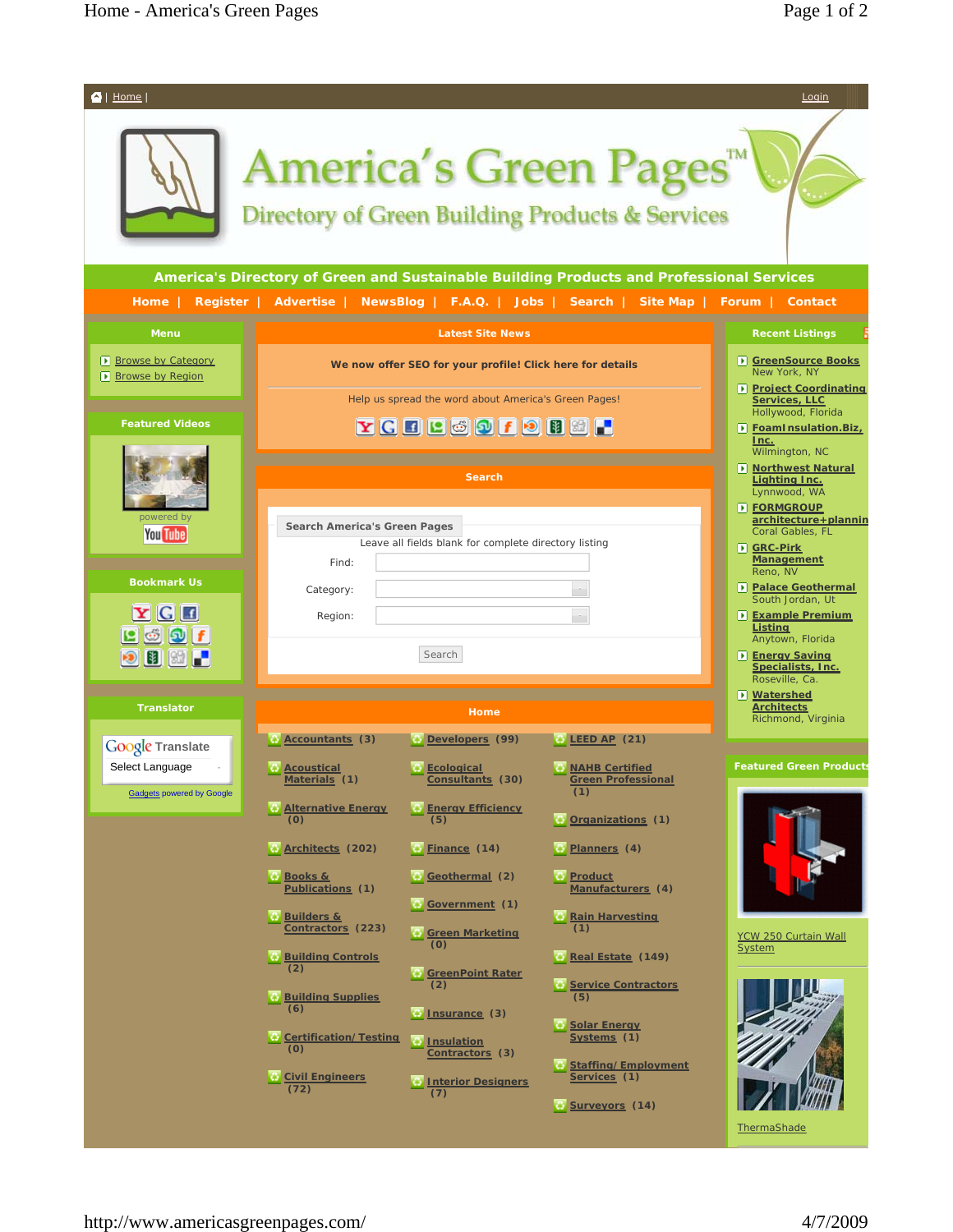

**ThermaShade**